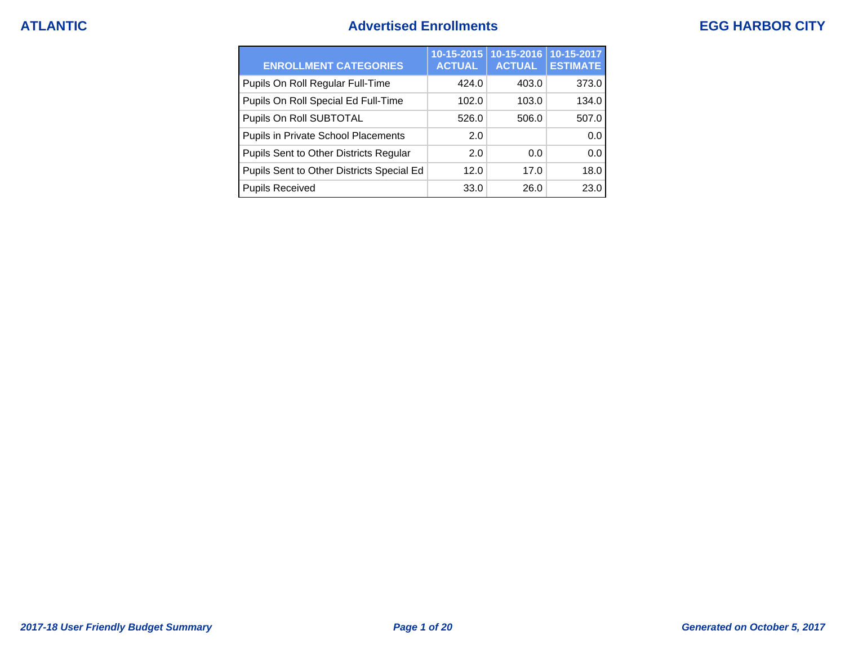## **ATLANTIC Advertised Enrollments EGG HARBOR CITY**

| <b>ENROLLMENT CATEGORIES</b>              | 10-15-2015<br><b>ACTUAL</b> | $10 - 15 - 2016$<br><b>ACTUAL</b> | 10-15-2017<br><b>ESTIMATE</b> |
|-------------------------------------------|-----------------------------|-----------------------------------|-------------------------------|
| Pupils On Roll Regular Full-Time          | 424.0                       | 403.0                             | 373.0                         |
| Pupils On Roll Special Ed Full-Time       | 102.0                       | 103.0                             | 134.0                         |
| Pupils On Roll SUBTOTAL                   | 526.0                       | 506.0                             | 507.0                         |
| Pupils in Private School Placements       | 2.0                         |                                   | 0.0                           |
| Pupils Sent to Other Districts Regular    | 2.0                         | 0.0                               | 0.0                           |
| Pupils Sent to Other Districts Special Ed | 12.0                        | 17.0                              | 18.0                          |
| <b>Pupils Received</b>                    | 33.0                        | 26.0                              | 23.0                          |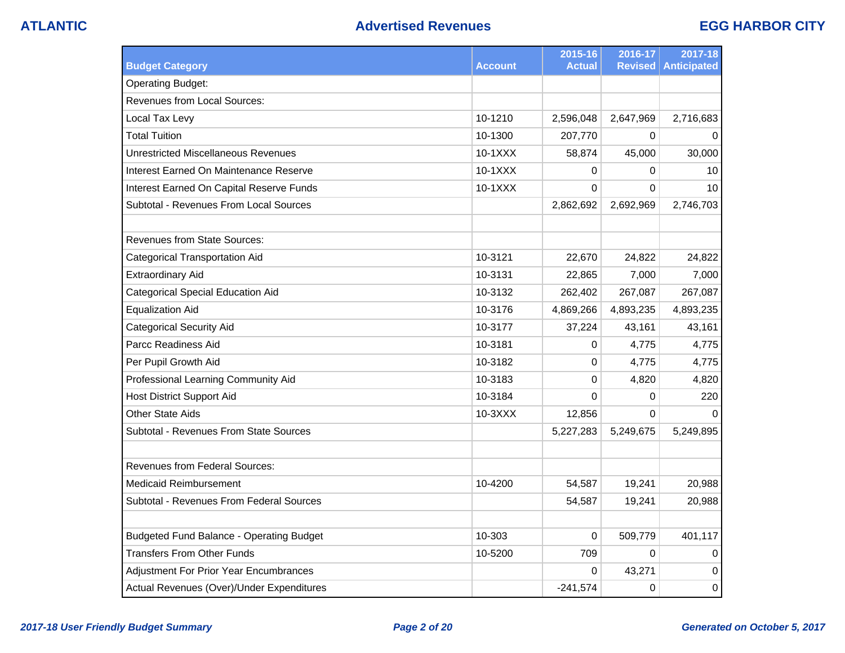| <b>Budget Category</b>                          | <b>Account</b> | 2015-16<br><b>Actual</b> | 2016-17<br><b>Revised</b> | 2017-18<br><b>Anticipated</b> |
|-------------------------------------------------|----------------|--------------------------|---------------------------|-------------------------------|
| <b>Operating Budget:</b>                        |                |                          |                           |                               |
| Revenues from Local Sources:                    |                |                          |                           |                               |
| Local Tax Levy                                  | 10-1210        | 2,596,048                | 2,647,969                 | 2,716,683                     |
| <b>Total Tuition</b>                            | 10-1300        | 207,770                  | 0                         | 0                             |
| Unrestricted Miscellaneous Revenues             | 10-1XXX        | 58,874                   | 45,000                    | 30,000                        |
| Interest Earned On Maintenance Reserve          | 10-1XXX        | 0                        | 0                         | 10                            |
| Interest Earned On Capital Reserve Funds        | 10-1XXX        | $\Omega$                 | $\Omega$                  | 10                            |
| Subtotal - Revenues From Local Sources          |                | 2,862,692                | 2,692,969                 | 2,746,703                     |
|                                                 |                |                          |                           |                               |
| <b>Revenues from State Sources:</b>             |                |                          |                           |                               |
| <b>Categorical Transportation Aid</b>           | 10-3121        | 22,670                   | 24,822                    | 24,822                        |
| <b>Extraordinary Aid</b>                        | 10-3131        | 22,865                   | 7,000                     | 7,000                         |
| <b>Categorical Special Education Aid</b>        | 10-3132        | 262,402                  | 267,087                   | 267,087                       |
| <b>Equalization Aid</b>                         | 10-3176        | 4,869,266                | 4,893,235                 | 4,893,235                     |
| <b>Categorical Security Aid</b>                 | 10-3177        | 37,224                   | 43,161                    | 43,161                        |
| Parcc Readiness Aid                             | 10-3181        | 0                        | 4,775                     | 4,775                         |
| Per Pupil Growth Aid                            | 10-3182        | 0                        | 4,775                     | 4,775                         |
| Professional Learning Community Aid             | 10-3183        | 0                        | 4,820                     | 4,820                         |
| <b>Host District Support Aid</b>                | 10-3184        | 0                        | 0                         | 220                           |
| Other State Aids                                | 10-3XXX        | 12,856                   | 0                         | $\Omega$                      |
| Subtotal - Revenues From State Sources          |                | 5,227,283                | 5,249,675                 | 5,249,895                     |
|                                                 |                |                          |                           |                               |
| <b>Revenues from Federal Sources:</b>           |                |                          |                           |                               |
| <b>Medicaid Reimbursement</b>                   | 10-4200        | 54,587                   | 19,241                    | 20,988                        |
| Subtotal - Revenues From Federal Sources        |                | 54,587                   | 19,241                    | 20,988                        |
|                                                 |                |                          |                           |                               |
| <b>Budgeted Fund Balance - Operating Budget</b> | 10-303         | 0                        | 509,779                   | 401,117                       |
| <b>Transfers From Other Funds</b>               | 10-5200        | 709                      | $\Omega$                  | 0                             |
| Adjustment For Prior Year Encumbrances          |                | 0                        | 43,271                    | 0                             |
| Actual Revenues (Over)/Under Expenditures       |                | $-241,574$               | 0                         | 0                             |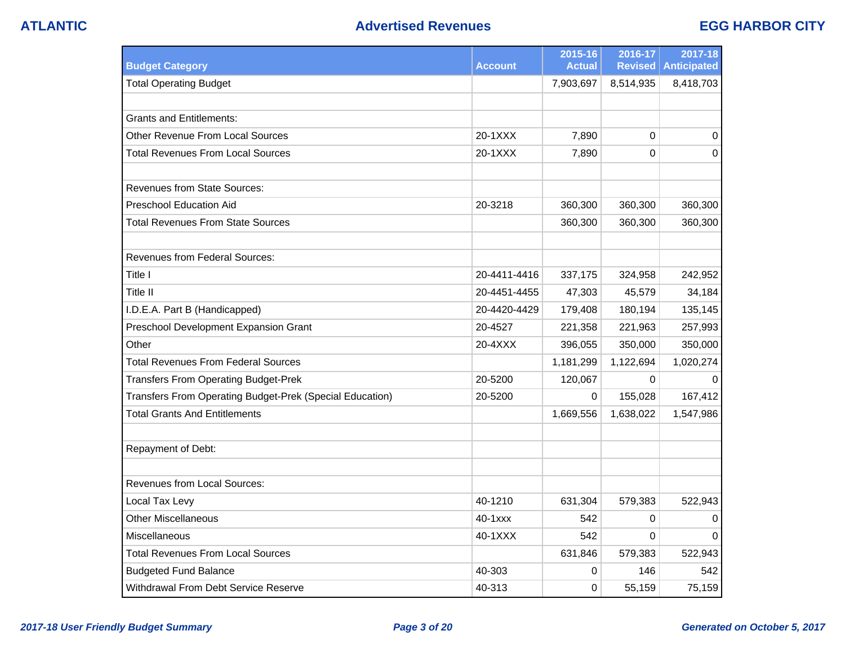| <b>Budget Category</b>                                   | <b>Account</b> | 2015-16<br><b>Actual</b> | 2016-17<br><b>Revised</b> | 2017-18<br><b>Anticipated</b> |
|----------------------------------------------------------|----------------|--------------------------|---------------------------|-------------------------------|
| <b>Total Operating Budget</b>                            |                | 7,903,697                | 8,514,935                 | 8,418,703                     |
|                                                          |                |                          |                           |                               |
| <b>Grants and Entitlements:</b>                          |                |                          |                           |                               |
| <b>Other Revenue From Local Sources</b>                  | 20-1XXX        | 7,890                    | $\Omega$                  | 0                             |
| <b>Total Revenues From Local Sources</b>                 | 20-1XXX        | 7,890                    | 0                         | $\Omega$                      |
|                                                          |                |                          |                           |                               |
| <b>Revenues from State Sources:</b>                      |                |                          |                           |                               |
| <b>Preschool Education Aid</b>                           | 20-3218        | 360,300                  | 360,300                   | 360,300                       |
| Total Revenues From State Sources                        |                | 360,300                  | 360,300                   | 360,300                       |
|                                                          |                |                          |                           |                               |
| <b>Revenues from Federal Sources:</b>                    |                |                          |                           |                               |
| Title I                                                  | 20-4411-4416   | 337,175                  | 324,958                   | 242,952                       |
| Title II                                                 | 20-4451-4455   | 47,303                   | 45,579                    | 34,184                        |
| I.D.E.A. Part B (Handicapped)                            | 20-4420-4429   | 179,408                  | 180,194                   | 135,145                       |
| Preschool Development Expansion Grant                    | 20-4527        | 221,358                  | 221,963                   | 257,993                       |
| Other                                                    | 20-4XXX        | 396,055                  | 350,000                   | 350,000                       |
| <b>Total Revenues From Federal Sources</b>               |                | 1,181,299                | 1,122,694                 | 1,020,274                     |
| <b>Transfers From Operating Budget-Prek</b>              | 20-5200        | 120,067                  | 0                         | 0                             |
| Transfers From Operating Budget-Prek (Special Education) | 20-5200        | 0                        | 155,028                   | 167,412                       |
| <b>Total Grants And Entitlements</b>                     |                | 1,669,556                | 1,638,022                 | 1,547,986                     |
|                                                          |                |                          |                           |                               |
| Repayment of Debt:                                       |                |                          |                           |                               |
|                                                          |                |                          |                           |                               |
| <b>Revenues from Local Sources:</b>                      |                |                          |                           |                               |
| Local Tax Levy                                           | 40-1210        | 631,304                  | 579,383                   | 522,943                       |
| <b>Other Miscellaneous</b>                               | 40-1xxx        | 542                      | 0                         | $\Omega$                      |
| Miscellaneous                                            | 40-1XXX        | 542                      | 0                         | $\Omega$                      |
| <b>Total Revenues From Local Sources</b>                 |                | 631,846                  | 579,383                   | 522,943                       |
| <b>Budgeted Fund Balance</b>                             | 40-303         | 0                        | 146                       | 542                           |
| Withdrawal From Debt Service Reserve                     | 40-313         | 0                        | 55,159                    | 75,159                        |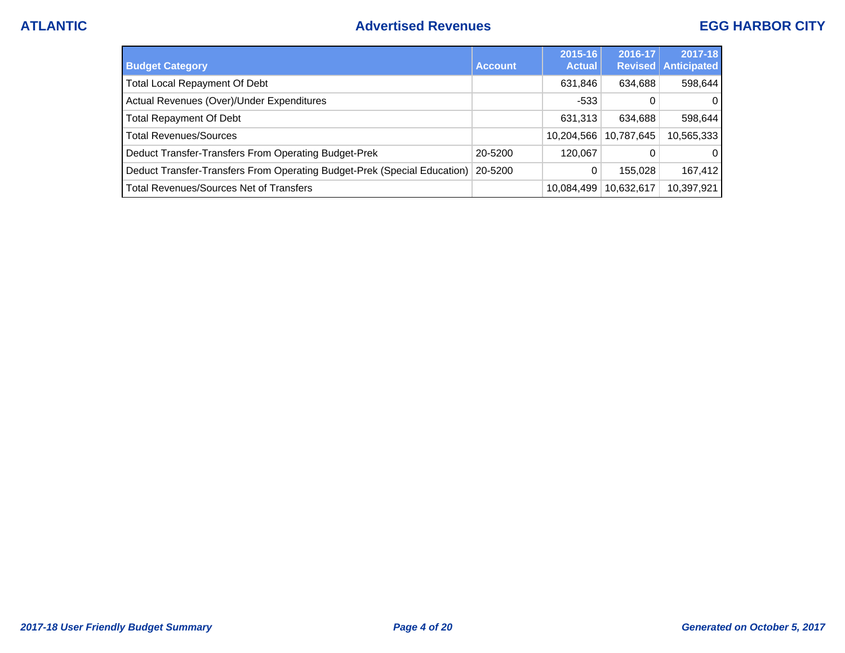| <b>Budget Category</b>                                                   | <b>Account</b> | 2015-16<br><b>Actual</b> | 2016-17    | 2017-18<br><b>Revised Anticipated</b> |
|--------------------------------------------------------------------------|----------------|--------------------------|------------|---------------------------------------|
| Total Local Repayment Of Debt                                            |                | 631,846                  | 634,688    | 598,644                               |
| Actual Revenues (Over)/Under Expenditures                                |                | $-533$                   | 0          | $\Omega$                              |
| <b>Total Repayment Of Debt</b>                                           |                | 631,313                  | 634,688    | 598,644                               |
| <b>Total Revenues/Sources</b>                                            |                | 10,204,566               | 10,787,645 | 10,565,333                            |
| Deduct Transfer-Transfers From Operating Budget-Prek                     | 20-5200        | 120,067                  | 0          | $\overline{0}$                        |
| Deduct Transfer-Transfers From Operating Budget-Prek (Special Education) | 20-5200        | 0                        | 155.028    | 167,412                               |
| <b>Total Revenues/Sources Net of Transfers</b>                           |                | 10,084,499               | 10,632,617 | 10,397,921                            |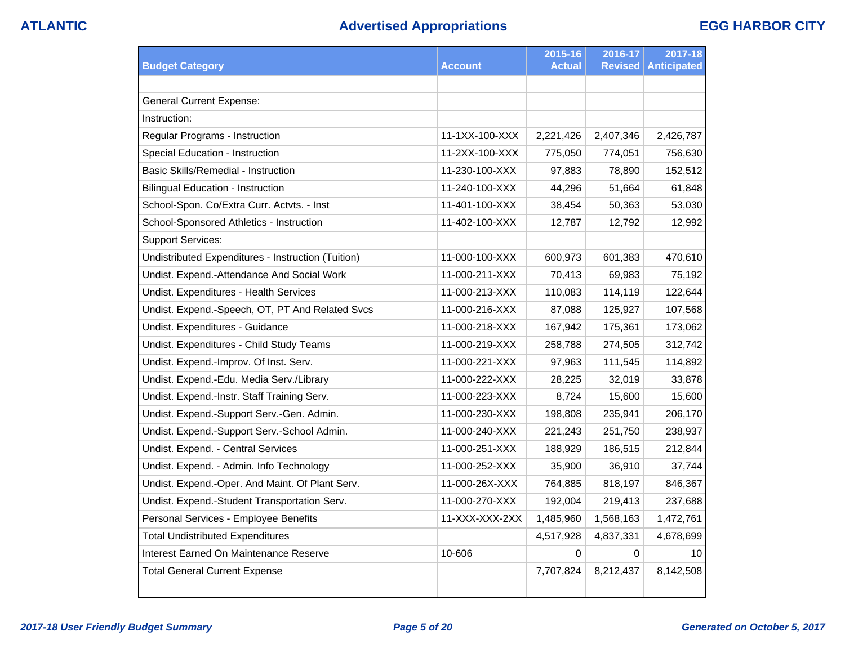| <b>Budget Category</b>                             | <b>Account</b> | 2015-16<br><b>Actual</b> | 2016-17<br><b>Revised</b> | 2017-18<br><b>Anticipated</b> |
|----------------------------------------------------|----------------|--------------------------|---------------------------|-------------------------------|
|                                                    |                |                          |                           |                               |
| <b>General Current Expense:</b>                    |                |                          |                           |                               |
| Instruction:                                       |                |                          |                           |                               |
| Regular Programs - Instruction                     | 11-1XX-100-XXX | 2,221,426                | 2,407,346                 | 2,426,787                     |
| Special Education - Instruction                    | 11-2XX-100-XXX | 775,050                  | 774,051                   | 756,630                       |
| <b>Basic Skills/Remedial - Instruction</b>         | 11-230-100-XXX | 97,883                   | 78,890                    | 152,512                       |
| <b>Bilingual Education - Instruction</b>           | 11-240-100-XXX | 44,296                   | 51,664                    | 61,848                        |
| School-Spon. Co/Extra Curr. Actvts. - Inst         | 11-401-100-XXX | 38,454                   | 50,363                    | 53,030                        |
| School-Sponsored Athletics - Instruction           | 11-402-100-XXX | 12,787                   | 12,792                    | 12,992                        |
| <b>Support Services:</b>                           |                |                          |                           |                               |
| Undistributed Expenditures - Instruction (Tuition) | 11-000-100-XXX | 600,973                  | 601,383                   | 470,610                       |
| Undist. Expend.-Attendance And Social Work         | 11-000-211-XXX | 70,413                   | 69,983                    | 75,192                        |
| Undist. Expenditures - Health Services             | 11-000-213-XXX | 110,083                  | 114,119                   | 122,644                       |
| Undist. Expend.-Speech, OT, PT And Related Svcs    | 11-000-216-XXX | 87,088                   | 125,927                   | 107,568                       |
| Undist. Expenditures - Guidance                    | 11-000-218-XXX | 167,942                  | 175,361                   | 173,062                       |
| Undist. Expenditures - Child Study Teams           | 11-000-219-XXX | 258,788                  | 274,505                   | 312,742                       |
| Undist. Expend.-Improv. Of Inst. Serv.             | 11-000-221-XXX | 97,963                   | 111,545                   | 114,892                       |
| Undist. Expend.-Edu. Media Serv./Library           | 11-000-222-XXX | 28,225                   | 32,019                    | 33,878                        |
| Undist. Expend.-Instr. Staff Training Serv.        | 11-000-223-XXX | 8,724                    | 15,600                    | 15,600                        |
| Undist. Expend.-Support Serv.-Gen. Admin.          | 11-000-230-XXX | 198,808                  | 235,941                   | 206,170                       |
| Undist. Expend.-Support Serv.-School Admin.        | 11-000-240-XXX | 221,243                  | 251,750                   | 238,937                       |
| Undist. Expend. - Central Services                 | 11-000-251-XXX | 188,929                  | 186,515                   | 212,844                       |
| Undist. Expend. - Admin. Info Technology           | 11-000-252-XXX | 35,900                   | 36,910                    | 37,744                        |
| Undist. Expend.-Oper. And Maint. Of Plant Serv.    | 11-000-26X-XXX | 764,885                  | 818,197                   | 846,367                       |
| Undist. Expend.-Student Transportation Serv.       | 11-000-270-XXX | 192,004                  | 219,413                   | 237,688                       |
| Personal Services - Employee Benefits              | 11-XXX-XXX-2XX | 1,485,960                | 1,568,163                 | 1,472,761                     |
| <b>Total Undistributed Expenditures</b>            |                | 4,517,928                | 4,837,331                 | 4,678,699                     |
| Interest Earned On Maintenance Reserve             | 10-606         | $\Omega$                 | 0                         | 10                            |
| <b>Total General Current Expense</b>               |                | 7,707,824                | 8,212,437                 | 8,142,508                     |
|                                                    |                |                          |                           |                               |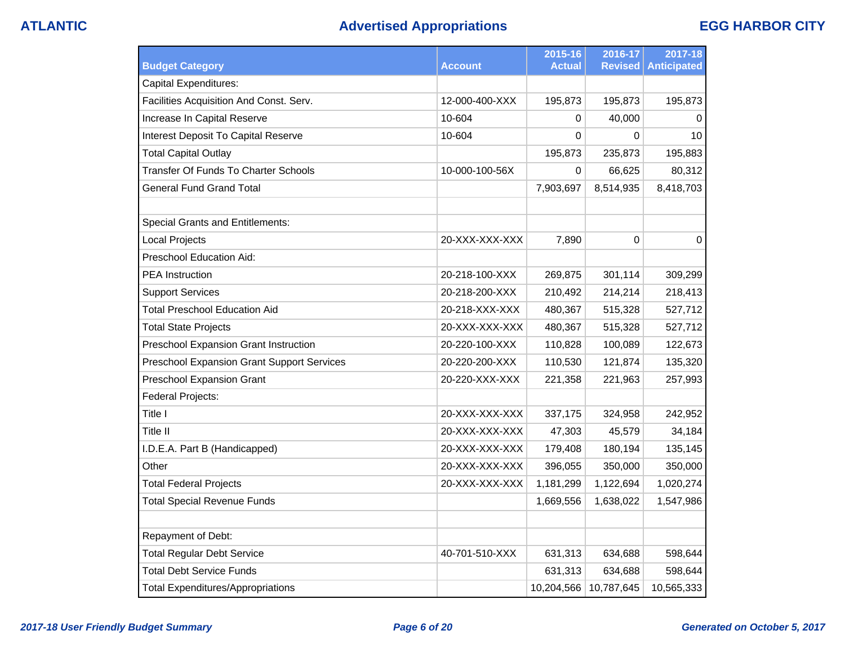# **ATLANTIC Advertised Appropriations EGG HARBOR CITY**

|                                                   |                | 2015-16       | 2016-17        | 2017-18            |
|---------------------------------------------------|----------------|---------------|----------------|--------------------|
| <b>Budget Category</b>                            | Account        | <b>Actual</b> | <b>Revised</b> | <b>Anticipated</b> |
| Capital Expenditures:                             |                |               |                |                    |
| Facilities Acquisition And Const. Serv.           | 12-000-400-XXX | 195,873       | 195,873        | 195,873            |
| Increase In Capital Reserve                       | 10-604         | 0             | 40,000         | 0                  |
| Interest Deposit To Capital Reserve               | 10-604         | 0             | 0              | 10                 |
| <b>Total Capital Outlay</b>                       |                | 195,873       | 235,873        | 195,883            |
| <b>Transfer Of Funds To Charter Schools</b>       | 10-000-100-56X | 0             | 66,625         | 80,312             |
| <b>General Fund Grand Total</b>                   |                | 7,903,697     | 8,514,935      | 8,418,703          |
|                                                   |                |               |                |                    |
| <b>Special Grants and Entitlements:</b>           |                |               |                |                    |
| <b>Local Projects</b>                             | 20-XXX-XXX-XXX | 7,890         | $\Omega$       | $\Omega$           |
| Preschool Education Aid:                          |                |               |                |                    |
| <b>PEA</b> Instruction                            | 20-218-100-XXX | 269,875       | 301,114        | 309,299            |
| <b>Support Services</b>                           | 20-218-200-XXX | 210,492       | 214,214        | 218,413            |
| <b>Total Preschool Education Aid</b>              | 20-218-XXX-XXX | 480,367       | 515,328        | 527,712            |
| <b>Total State Projects</b>                       | 20-XXX-XXX-XXX | 480,367       | 515,328        | 527,712            |
| Preschool Expansion Grant Instruction             | 20-220-100-XXX | 110,828       | 100,089        | 122,673            |
| <b>Preschool Expansion Grant Support Services</b> | 20-220-200-XXX | 110,530       | 121,874        | 135,320            |
| <b>Preschool Expansion Grant</b>                  | 20-220-XXX-XXX | 221,358       | 221,963        | 257,993            |
| Federal Projects:                                 |                |               |                |                    |
| Title I                                           | 20-XXX-XXX-XXX | 337,175       | 324,958        | 242,952            |
| Title II                                          | 20-XXX-XXX-XXX | 47,303        | 45,579         | 34,184             |
| I.D.E.A. Part B (Handicapped)                     | 20-XXX-XXX-XXX | 179,408       | 180,194        | 135,145            |
| Other                                             | 20-XXX-XXX-XXX | 396,055       | 350,000        | 350,000            |
| <b>Total Federal Projects</b>                     | 20-XXX-XXX-XXX | 1,181,299     | 1,122,694      | 1,020,274          |
| <b>Total Special Revenue Funds</b>                |                | 1,669,556     | 1,638,022      | 1,547,986          |
|                                                   |                |               |                |                    |
| Repayment of Debt:                                |                |               |                |                    |
| <b>Total Regular Debt Service</b>                 | 40-701-510-XXX | 631,313       | 634,688        | 598,644            |
| <b>Total Debt Service Funds</b>                   |                | 631,313       | 634,688        | 598,644            |
| <b>Total Expenditures/Appropriations</b>          |                | 10,204,566    | 10,787,645     | 10,565,333         |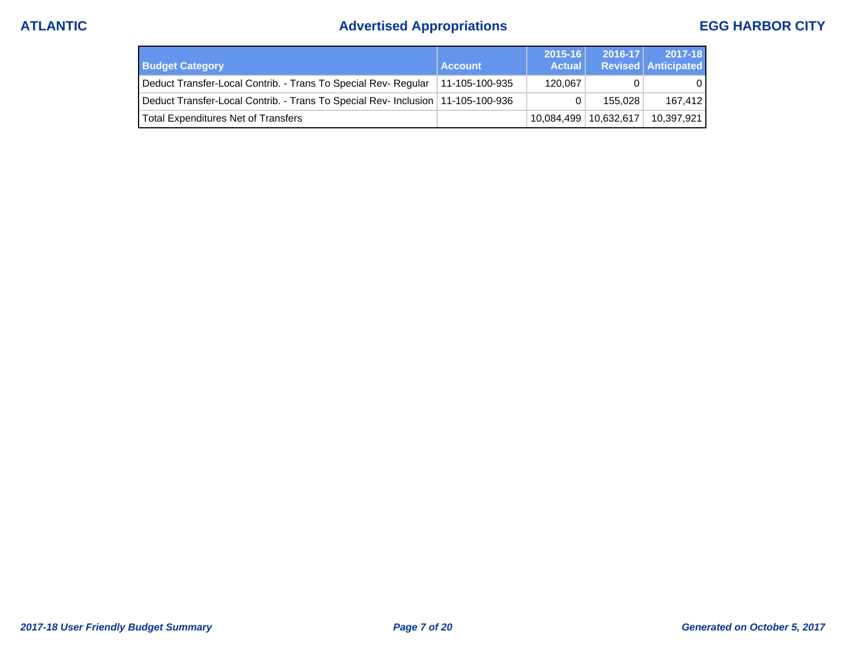# **ATLANTIC Advertised Appropriations EGG HARBOR CITY**

| <b>Budget Category</b>                                                          | <b>Account</b>  | $2015 - 16$<br><b>Actual</b> | $2016 - 17$ | 2017-18<br><b>Revised Anticipated</b> |
|---------------------------------------------------------------------------------|-----------------|------------------------------|-------------|---------------------------------------|
| Deduct Transfer-Local Contrib. - Trans To Special Rev- Regular                  | ⊺11-105-100-935 | 120.067                      |             |                                       |
| Deduct Transfer-Local Contrib. - Trans To Special Rev- Inclusion 11-105-100-936 |                 |                              | 155.028     | 167.412                               |
| <b>Total Expenditures Net of Transfers</b>                                      |                 | 10,084,499   10,632,617      |             | 10,397,921                            |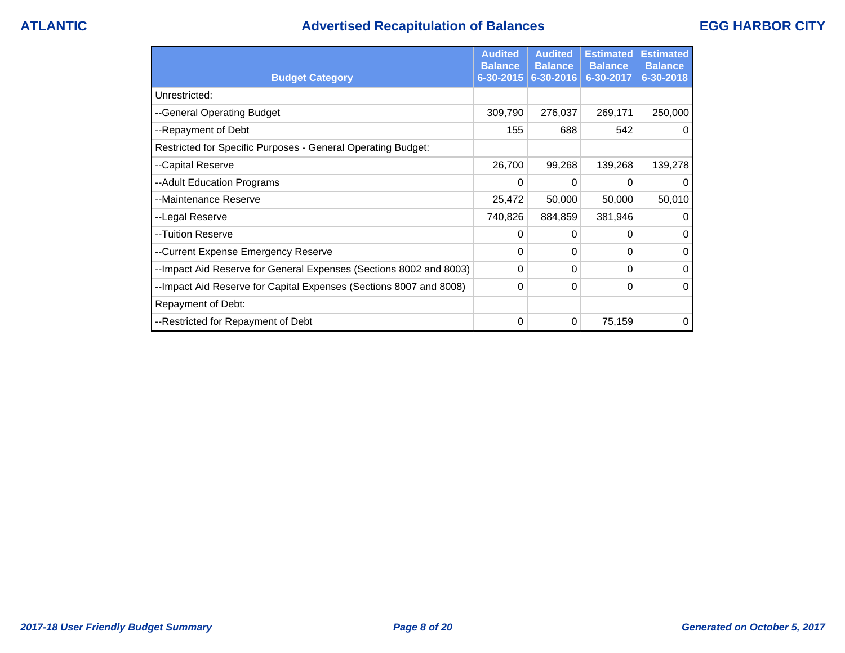## **ATLANTIC Advertised Recapitulation of Balances EGG HARBOR CITY**

|                                                                    | <b>Audited</b><br><b>Balance</b> | <b>Audited</b><br><b>Balance</b> | <b>Estimated</b><br><b>Balance</b> | <b>Estimated</b><br><b>Balance</b> |
|--------------------------------------------------------------------|----------------------------------|----------------------------------|------------------------------------|------------------------------------|
| <b>Budget Category</b>                                             | $6 - 30 - 2015$                  | 6-30-2016                        | 6-30-2017                          | 6-30-2018                          |
| Unrestricted:                                                      |                                  |                                  |                                    |                                    |
| --General Operating Budget                                         | 309,790                          | 276,037                          | 269,171                            | 250,000                            |
| --Repayment of Debt                                                | 155                              | 688                              | 542                                | $\Omega$                           |
| Restricted for Specific Purposes - General Operating Budget:       |                                  |                                  |                                    |                                    |
| --Capital Reserve                                                  | 26,700                           | 99,268                           | 139,268                            | 139,278                            |
| --Adult Education Programs                                         | 0                                | 0                                | 0                                  | $\mathbf 0$                        |
| --Maintenance Reserve                                              | 25,472                           | 50,000                           | 50,000                             | 50,010                             |
| --Legal Reserve                                                    | 740,826                          | 884,859                          | 381,946                            | $\Omega$                           |
| --Tuition Reserve                                                  | 0                                | 0                                | 0                                  | $\mathbf 0$                        |
| --Current Expense Emergency Reserve                                | 0                                | 0                                | 0                                  | $\mathbf{0}$                       |
| --Impact Aid Reserve for General Expenses (Sections 8002 and 8003) | 0                                | 0                                | $\Omega$                           | $\Omega$                           |
| --Impact Aid Reserve for Capital Expenses (Sections 8007 and 8008) | 0                                | 0                                | 0                                  | $\Omega$                           |
| Repayment of Debt:                                                 |                                  |                                  |                                    |                                    |
| --Restricted for Repayment of Debt                                 | 0                                | 0                                | 75,159                             | 0                                  |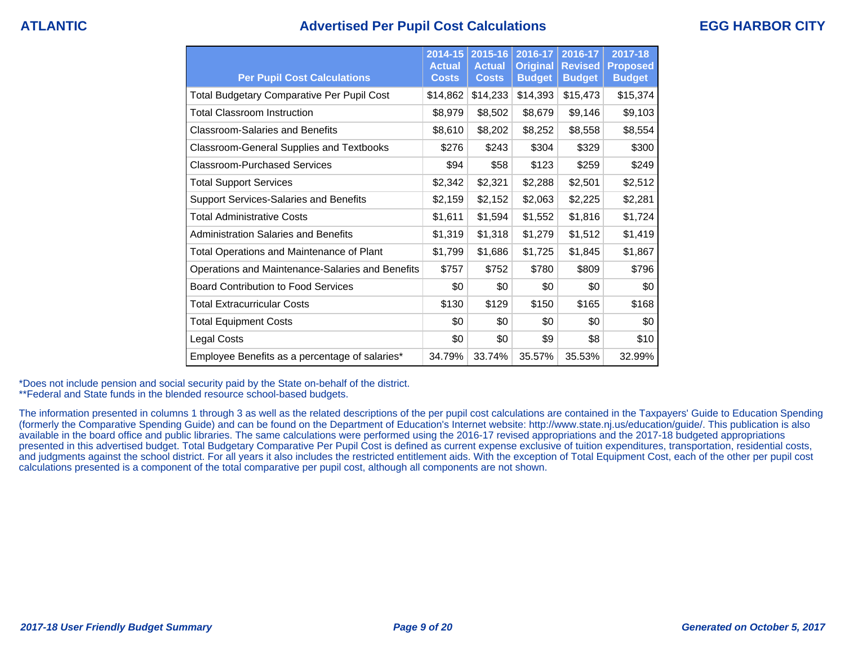## **ATLANTIC Advertised Per Pupil Cost Calculations EGG HARBOR CITY**

| <b>Per Pupil Cost Calculations</b>                | 2014-15<br><b>Actual</b><br><b>Costs</b> | 2015-16<br><b>Actual</b><br><b>Costs</b> | 2016-17<br><b>Original</b><br><b>Budget</b> | 2016-17<br><b>Revised</b><br><b>Budget</b> | 2017-18<br><b>Proposed</b><br><b>Budget</b> |
|---------------------------------------------------|------------------------------------------|------------------------------------------|---------------------------------------------|--------------------------------------------|---------------------------------------------|
| <b>Total Budgetary Comparative Per Pupil Cost</b> | \$14,862                                 | \$14,233                                 | \$14,393                                    | \$15,473                                   | \$15,374                                    |
| <b>Total Classroom Instruction</b>                | \$8,979                                  | \$8,502                                  | \$8,679                                     | \$9,146                                    | \$9,103                                     |
| <b>Classroom-Salaries and Benefits</b>            | \$8,610                                  | \$8,202                                  | \$8,252                                     | \$8,558                                    | \$8,554                                     |
| <b>Classroom-General Supplies and Textbooks</b>   | \$276                                    | \$243                                    | \$304                                       | \$329                                      | \$300                                       |
| Classroom-Purchased Services                      | \$94                                     | \$58                                     | \$123                                       | \$259                                      | \$249                                       |
| <b>Total Support Services</b>                     | \$2,342                                  | \$2,321                                  | \$2,288                                     | \$2,501                                    | \$2,512                                     |
| <b>Support Services-Salaries and Benefits</b>     | \$2,159                                  | \$2,152                                  | \$2,063                                     | \$2,225                                    | \$2,281                                     |
| <b>Total Administrative Costs</b>                 | \$1,611                                  | \$1,594                                  | \$1,552                                     | \$1,816                                    | \$1,724                                     |
| <b>Administration Salaries and Benefits</b>       | \$1,319                                  | \$1,318                                  | \$1,279                                     | \$1,512                                    | \$1,419                                     |
| <b>Total Operations and Maintenance of Plant</b>  | \$1,799                                  | \$1,686                                  | \$1,725                                     | \$1,845                                    | \$1,867                                     |
| Operations and Maintenance-Salaries and Benefits  | \$757                                    | \$752                                    | \$780                                       | \$809                                      | \$796                                       |
| <b>Board Contribution to Food Services</b>        | \$0                                      | \$0                                      | \$0                                         | \$0                                        | \$0                                         |
| <b>Total Extracurricular Costs</b>                | \$130                                    | \$129                                    | \$150                                       | \$165                                      | \$168                                       |
| <b>Total Equipment Costs</b>                      | \$0                                      | \$0                                      | \$0                                         | \$0                                        | \$0                                         |
| Legal Costs                                       | \$0                                      | \$0                                      | \$9                                         | \$8                                        | \$10                                        |
| Employee Benefits as a percentage of salaries*    | 34.79%                                   | 33.74%                                   | 35.57%                                      | 35.53%                                     | 32.99%                                      |

\*Does not include pension and social security paid by the State on-behalf of the district.

\*\*Federal and State funds in the blended resource school-based budgets.

The information presented in columns 1 through 3 as well as the related descriptions of the per pupil cost calculations are contained in the Taxpayers' Guide to Education Spending (formerly the Comparative Spending Guide) and can be found on the Department of Education's Internet website: http://www.state.nj.us/education/guide/. This publication is also available in the board office and public libraries. The same calculations were performed using the 2016-17 revised appropriations and the 2017-18 budgeted appropriations presented in this advertised budget. Total Budgetary Comparative Per Pupil Cost is defined as current expense exclusive of tuition expenditures, transportation, residential costs, and judgments against the school district. For all years it also includes the restricted entitlement aids. With the exception of Total Equipment Cost, each of the other per pupil cost calculations presented is a component of the total comparative per pupil cost, although all components are not shown.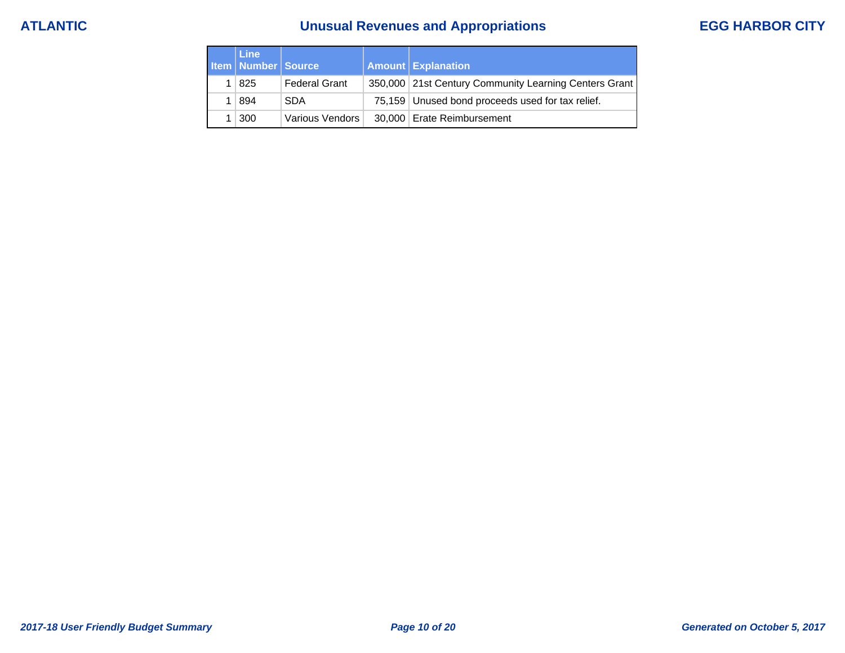# **ATLANTIC Unusual Revenues and Appropriations EGG HARBOR CITY**

| <b>Line</b><br><b>Item   Number   Source</b> |                      | <b>Amount Explanation</b>                             |
|----------------------------------------------|----------------------|-------------------------------------------------------|
| 1   825                                      | <b>Federal Grant</b> | 350,000 21st Century Community Learning Centers Grant |
| 1   894                                      | <b>SDA</b>           | 75,159 Unused bond proceeds used for tax relief.      |
| 300                                          | Various Vendors      | 30,000 Erate Reimbursement                            |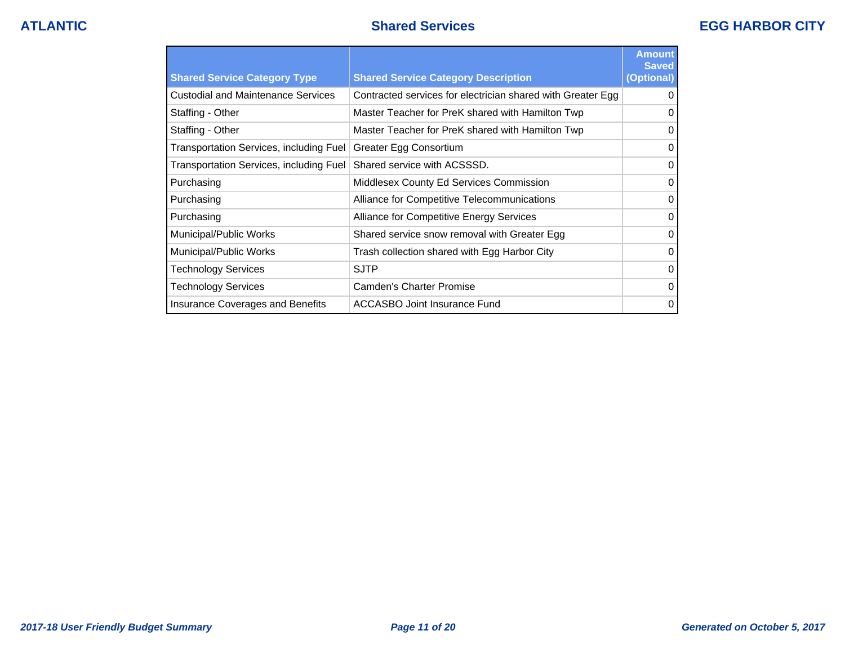| <b>Shared Service Category Type</b>            | <b>Shared Service Category Description</b>                  | <b>Amount</b><br><b>Saved</b><br>(Optional) |
|------------------------------------------------|-------------------------------------------------------------|---------------------------------------------|
| <b>Custodial and Maintenance Services</b>      | Contracted services for electrician shared with Greater Egg | 0                                           |
| Staffing - Other                               | Master Teacher for PreK shared with Hamilton Twp            | $\Omega$                                    |
| Staffing - Other                               | Master Teacher for PreK shared with Hamilton Twp            | $\Omega$                                    |
| <b>Transportation Services, including Fuel</b> | Greater Egg Consortium                                      | $\Omega$                                    |
| Transportation Services, including Fuel        | Shared service with ACSSSD.                                 | $\Omega$                                    |
| Purchasing                                     | Middlesex County Ed Services Commission                     | $\Omega$                                    |
| Purchasing                                     | Alliance for Competitive Telecommunications                 | $\Omega$                                    |
| Purchasing                                     | Alliance for Competitive Energy Services                    | $\Omega$                                    |
| Municipal/Public Works                         | Shared service snow removal with Greater Egg                | $\Omega$                                    |
| Municipal/Public Works                         | Trash collection shared with Egg Harbor City                | $\Omega$                                    |
| <b>Technology Services</b>                     | <b>SJTP</b>                                                 | $\Omega$                                    |
| <b>Technology Services</b>                     | Camden's Charter Promise                                    | $\Omega$                                    |
| Insurance Coverages and Benefits               | <b>ACCASBO Joint Insurance Fund</b>                         | $\Omega$                                    |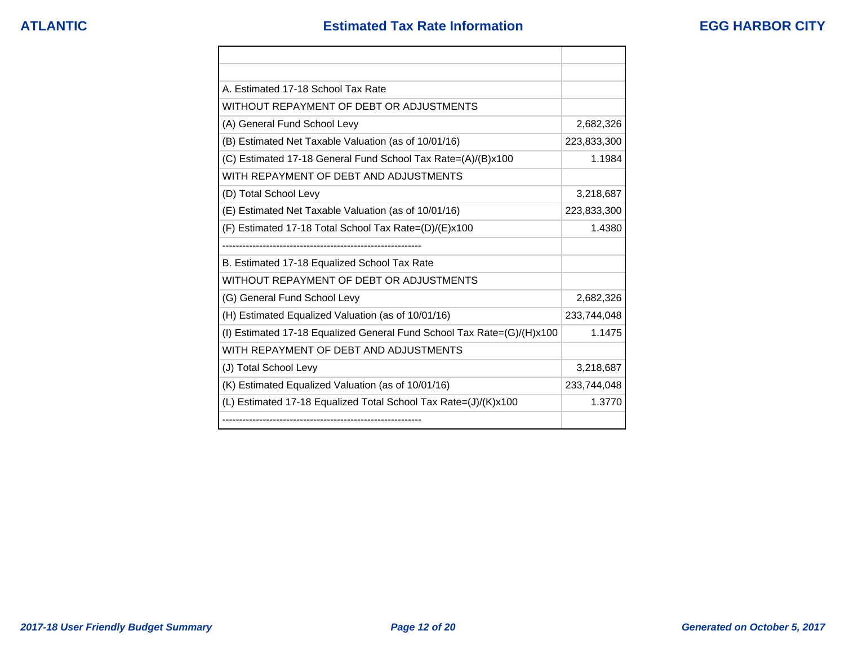| A. Estimated 17-18 School Tax Rate                                        |             |
|---------------------------------------------------------------------------|-------------|
| WITHOUT REPAYMENT OF DEBT OR ADJUSTMENTS                                  |             |
| (A) General Fund School Levy                                              | 2,682,326   |
| (B) Estimated Net Taxable Valuation (as of 10/01/16)                      | 223,833,300 |
| (C) Estimated 17-18 General Fund School Tax Rate=(A)/(B)x100              | 1.1984      |
| WITH REPAYMENT OF DEBT AND ADJUSTMENTS                                    |             |
| (D) Total School Levy                                                     | 3,218,687   |
| (E) Estimated Net Taxable Valuation (as of 10/01/16)                      | 223,833,300 |
| $(F)$ Estimated 17-18 Total School Tax Rate= $(D)/(E)x100$                | 1.4380      |
|                                                                           |             |
| B. Estimated 17-18 Equalized School Tax Rate                              |             |
| WITHOUT REPAYMENT OF DEBT OR ADJUSTMENTS                                  |             |
| (G) General Fund School Levy                                              | 2,682,326   |
| (H) Estimated Equalized Valuation (as of 10/01/16)                        | 233,744,048 |
| (I) Estimated 17-18 Equalized General Fund School Tax Rate= $(G)/(H)x100$ | 1.1475      |
| WITH REPAYMENT OF DEBT AND ADJUSTMENTS                                    |             |
| (J) Total School Levy                                                     | 3,218,687   |
| (K) Estimated Equalized Valuation (as of 10/01/16)                        | 233,744,048 |
| (L) Estimated 17-18 Equalized Total School Tax Rate=(J)/(K)x100           | 1.3770      |
|                                                                           |             |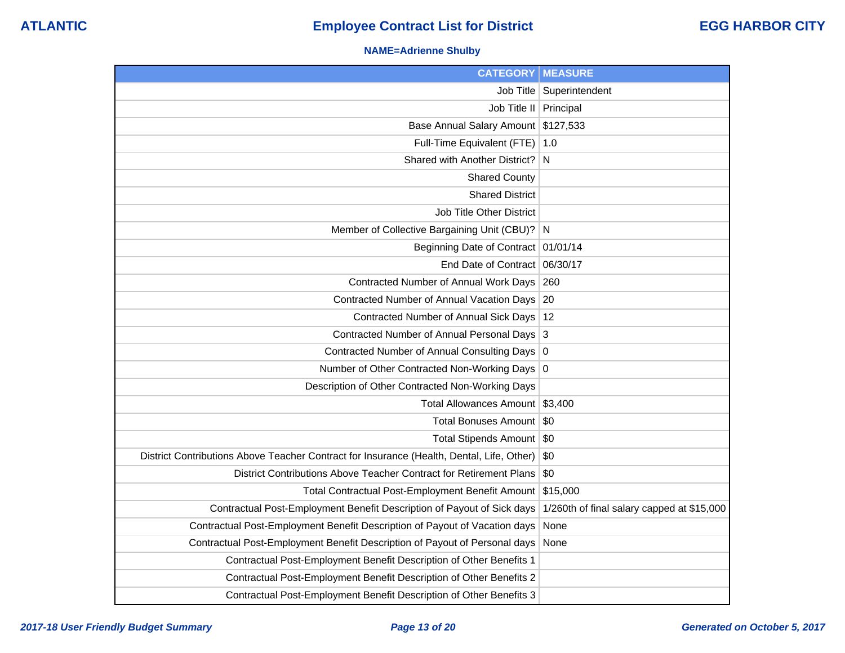### **NAME=Adrienne Shulby**

| <b>CATEGORY</b>                                                                           | <b>MEASURE</b>                             |
|-------------------------------------------------------------------------------------------|--------------------------------------------|
| Job Title                                                                                 | Superintendent                             |
| Job Title II   Principal                                                                  |                                            |
| Base Annual Salary Amount                                                                 | \$127,533                                  |
| Full-Time Equivalent (FTE)                                                                | 1.0                                        |
| Shared with Another District?                                                             | N                                          |
| <b>Shared County</b>                                                                      |                                            |
| <b>Shared District</b>                                                                    |                                            |
| Job Title Other District                                                                  |                                            |
| Member of Collective Bargaining Unit (CBU)? N                                             |                                            |
| Beginning Date of Contract 01/01/14                                                       |                                            |
| End Date of Contract 06/30/17                                                             |                                            |
| Contracted Number of Annual Work Days                                                     | 260                                        |
| Contracted Number of Annual Vacation Days 20                                              |                                            |
| Contracted Number of Annual Sick Days                                                     | 12                                         |
| Contracted Number of Annual Personal Days 3                                               |                                            |
| Contracted Number of Annual Consulting Days 0                                             |                                            |
| Number of Other Contracted Non-Working Days 0                                             |                                            |
| Description of Other Contracted Non-Working Days                                          |                                            |
| Total Allowances Amount \$3,400                                                           |                                            |
| Total Bonuses Amount   \$0                                                                |                                            |
| Total Stipends Amount   \$0                                                               |                                            |
| District Contributions Above Teacher Contract for Insurance (Health, Dental, Life, Other) | \$0                                        |
| District Contributions Above Teacher Contract for Retirement Plans                        | \$0                                        |
| Total Contractual Post-Employment Benefit Amount                                          | \$15,000                                   |
| Contractual Post-Employment Benefit Description of Payout of Sick days                    | 1/260th of final salary capped at \$15,000 |
| Contractual Post-Employment Benefit Description of Payout of Vacation days                | None                                       |
| Contractual Post-Employment Benefit Description of Payout of Personal days                | None                                       |
| Contractual Post-Employment Benefit Description of Other Benefits 1                       |                                            |
| Contractual Post-Employment Benefit Description of Other Benefits 2                       |                                            |
| Contractual Post-Employment Benefit Description of Other Benefits 3                       |                                            |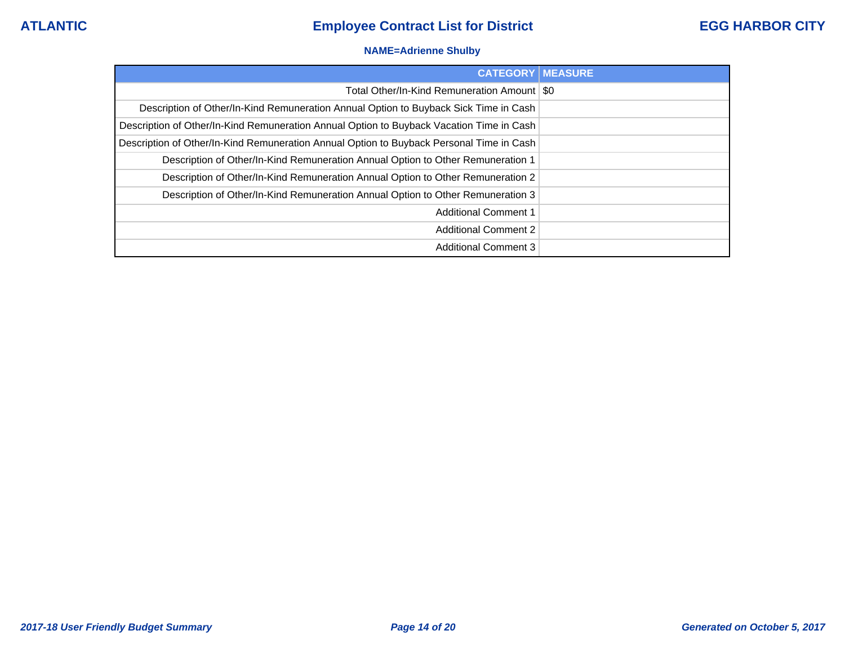### **NAME=Adrienne Shulby**

| <b>CATEGORY   MEASURE</b>                                                                |  |
|------------------------------------------------------------------------------------------|--|
| Total Other/In-Kind Remuneration Amount   \$0                                            |  |
| Description of Other/In-Kind Remuneration Annual Option to Buyback Sick Time in Cash     |  |
| Description of Other/In-Kind Remuneration Annual Option to Buyback Vacation Time in Cash |  |
| Description of Other/In-Kind Remuneration Annual Option to Buyback Personal Time in Cash |  |
| Description of Other/In-Kind Remuneration Annual Option to Other Remuneration 1          |  |
| Description of Other/In-Kind Remuneration Annual Option to Other Remuneration 2          |  |
| Description of Other/In-Kind Remuneration Annual Option to Other Remuneration 3          |  |
| <b>Additional Comment 1</b>                                                              |  |
| <b>Additional Comment 2</b>                                                              |  |
| <b>Additional Comment 3</b>                                                              |  |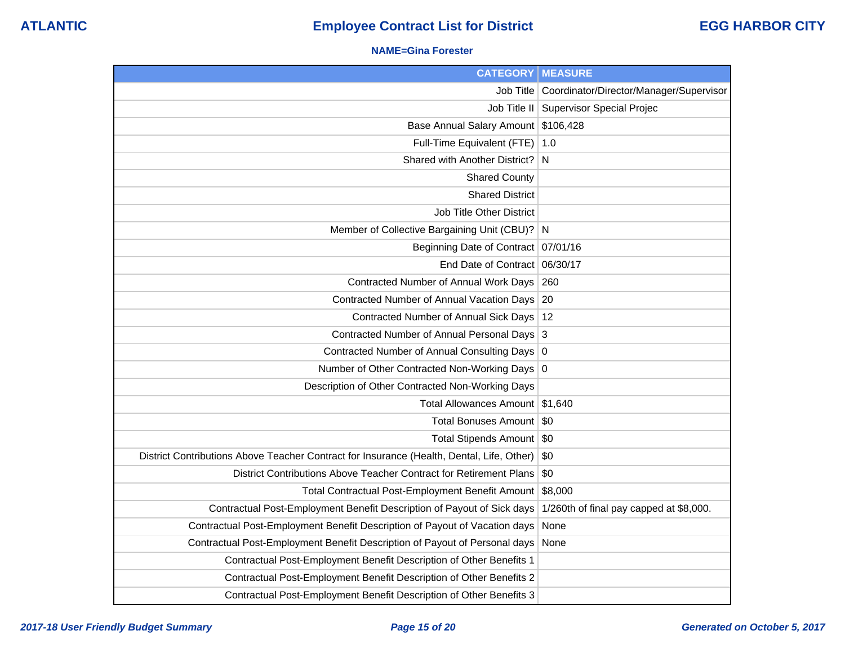### **NAME=Gina Forester**

| <b>CATEGORY</b>                                                                           | <b>MEASURE</b>                          |
|-------------------------------------------------------------------------------------------|-----------------------------------------|
| Job Title                                                                                 | Coordinator/Director/Manager/Supervisor |
| Job Title II                                                                              | <b>Supervisor Special Projec</b>        |
| Base Annual Salary Amount                                                                 | \$106,428                               |
| Full-Time Equivalent (FTE)                                                                | 1.0                                     |
| Shared with Another District? N                                                           |                                         |
| <b>Shared County</b>                                                                      |                                         |
| <b>Shared District</b>                                                                    |                                         |
| <b>Job Title Other District</b>                                                           |                                         |
| Member of Collective Bargaining Unit (CBU)? N                                             |                                         |
| Beginning Date of Contract 07/01/16                                                       |                                         |
| End Date of Contract                                                                      | 06/30/17                                |
| Contracted Number of Annual Work Days                                                     | 260                                     |
| Contracted Number of Annual Vacation Days 20                                              |                                         |
| Contracted Number of Annual Sick Days                                                     | 12                                      |
| Contracted Number of Annual Personal Days 3                                               |                                         |
| Contracted Number of Annual Consulting Days 0                                             |                                         |
| Number of Other Contracted Non-Working Days 0                                             |                                         |
| Description of Other Contracted Non-Working Days                                          |                                         |
| Total Allowances Amount                                                                   | \$1,640                                 |
| <b>Total Bonuses Amount</b>                                                               | \$0                                     |
| Total Stipends Amount                                                                     | -\$0                                    |
| District Contributions Above Teacher Contract for Insurance (Health, Dental, Life, Other) | \$0                                     |
| District Contributions Above Teacher Contract for Retirement Plans                        | \$0                                     |
| Total Contractual Post-Employment Benefit Amount                                          | \$8,000                                 |
| Contractual Post-Employment Benefit Description of Payout of Sick days                    | 1/260th of final pay capped at \$8,000. |
| Contractual Post-Employment Benefit Description of Payout of Vacation days                | None                                    |
| Contractual Post-Employment Benefit Description of Payout of Personal days                | None                                    |
| Contractual Post-Employment Benefit Description of Other Benefits 1                       |                                         |
| Contractual Post-Employment Benefit Description of Other Benefits 2                       |                                         |
| Contractual Post-Employment Benefit Description of Other Benefits 3                       |                                         |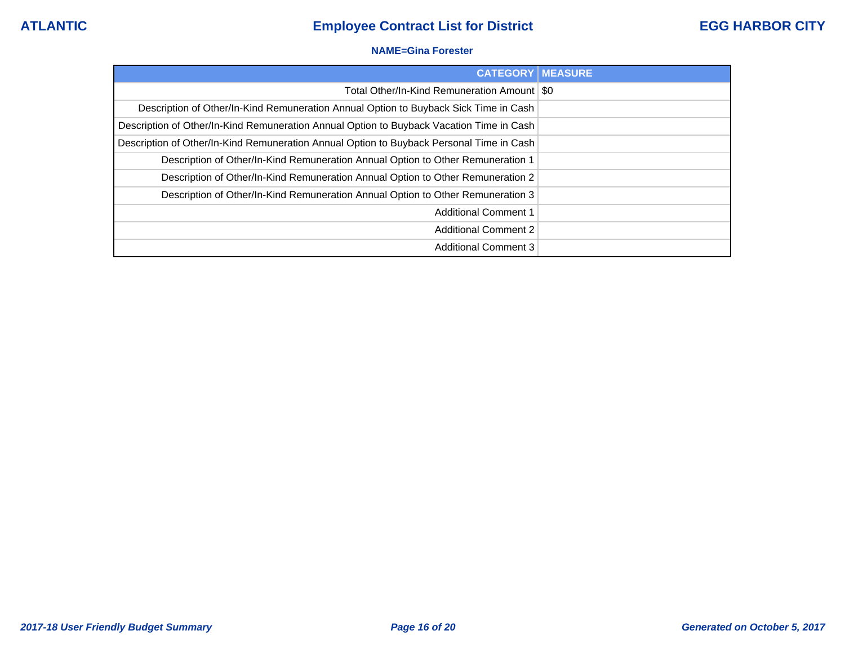### **NAME=Gina Forester**

| <b>CATEGORY MEASURE</b>                                                                  |  |
|------------------------------------------------------------------------------------------|--|
| Total Other/In-Kind Remuneration Amount   \$0                                            |  |
| Description of Other/In-Kind Remuneration Annual Option to Buyback Sick Time in Cash     |  |
| Description of Other/In-Kind Remuneration Annual Option to Buyback Vacation Time in Cash |  |
| Description of Other/In-Kind Remuneration Annual Option to Buyback Personal Time in Cash |  |
| Description of Other/In-Kind Remuneration Annual Option to Other Remuneration 1          |  |
| Description of Other/In-Kind Remuneration Annual Option to Other Remuneration 2          |  |
| Description of Other/In-Kind Remuneration Annual Option to Other Remuneration 3          |  |
| <b>Additional Comment 1</b>                                                              |  |
| <b>Additional Comment 2</b>                                                              |  |
| <b>Additional Comment 3</b>                                                              |  |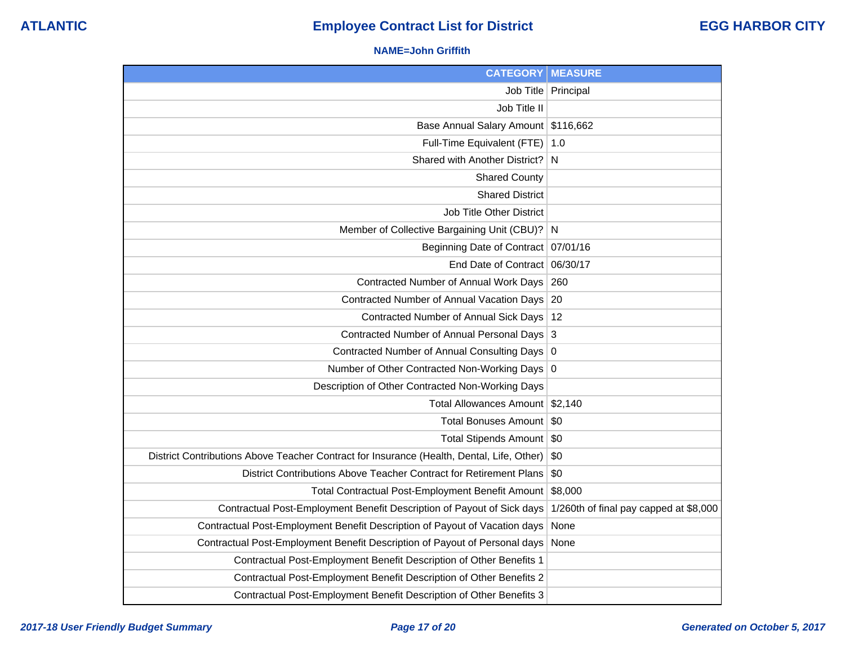### **NAME=John Griffith**

| <b>CATEGORY</b>                                                                           | <b>MEASURE</b>                         |
|-------------------------------------------------------------------------------------------|----------------------------------------|
|                                                                                           | Job Title   Principal                  |
| Job Title II                                                                              |                                        |
| Base Annual Salary Amount                                                                 | \$116,662                              |
| Full-Time Equivalent (FTE)                                                                | 1.0                                    |
| Shared with Another District?                                                             | N.                                     |
| <b>Shared County</b>                                                                      |                                        |
| <b>Shared District</b>                                                                    |                                        |
| Job Title Other District                                                                  |                                        |
| Member of Collective Bargaining Unit (CBU)?                                               | N                                      |
| Beginning Date of Contract                                                                | 07/01/16                               |
| End Date of Contract 06/30/17                                                             |                                        |
| Contracted Number of Annual Work Days                                                     | 260                                    |
| Contracted Number of Annual Vacation Days                                                 | 20                                     |
| Contracted Number of Annual Sick Days                                                     | 12                                     |
| Contracted Number of Annual Personal Days 3                                               |                                        |
| Contracted Number of Annual Consulting Days                                               | 0                                      |
| Number of Other Contracted Non-Working Days 0                                             |                                        |
| Description of Other Contracted Non-Working Days                                          |                                        |
| Total Allowances Amount \$2,140                                                           |                                        |
| <b>Total Bonuses Amount</b>                                                               | \$0                                    |
| Total Stipends Amount   \$0                                                               |                                        |
| District Contributions Above Teacher Contract for Insurance (Health, Dental, Life, Other) | \$0                                    |
| District Contributions Above Teacher Contract for Retirement Plans                        | \$0                                    |
| Total Contractual Post-Employment Benefit Amount                                          | \$8,000                                |
| Contractual Post-Employment Benefit Description of Payout of Sick days                    | 1/260th of final pay capped at \$8,000 |
| Contractual Post-Employment Benefit Description of Payout of Vacation days                | None                                   |
| Contractual Post-Employment Benefit Description of Payout of Personal days                | None                                   |
| Contractual Post-Employment Benefit Description of Other Benefits 1                       |                                        |
| Contractual Post-Employment Benefit Description of Other Benefits 2                       |                                        |
| Contractual Post-Employment Benefit Description of Other Benefits 3                       |                                        |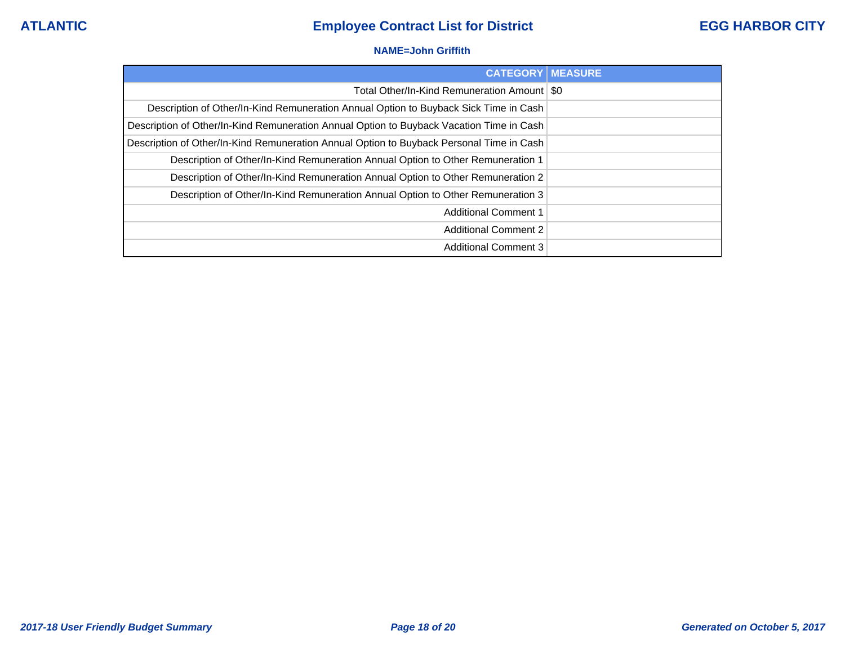### **NAME=John Griffith**

| <b>CATEGORY MEASURE</b>                                                                  |  |
|------------------------------------------------------------------------------------------|--|
| Total Other/In-Kind Remuneration Amount   \$0                                            |  |
| Description of Other/In-Kind Remuneration Annual Option to Buyback Sick Time in Cash     |  |
| Description of Other/In-Kind Remuneration Annual Option to Buyback Vacation Time in Cash |  |
| Description of Other/In-Kind Remuneration Annual Option to Buyback Personal Time in Cash |  |
| Description of Other/In-Kind Remuneration Annual Option to Other Remuneration 1          |  |
| Description of Other/In-Kind Remuneration Annual Option to Other Remuneration 2          |  |
| Description of Other/In-Kind Remuneration Annual Option to Other Remuneration 3          |  |
| <b>Additional Comment 1</b>                                                              |  |
| <b>Additional Comment 2</b>                                                              |  |
| <b>Additional Comment 3</b>                                                              |  |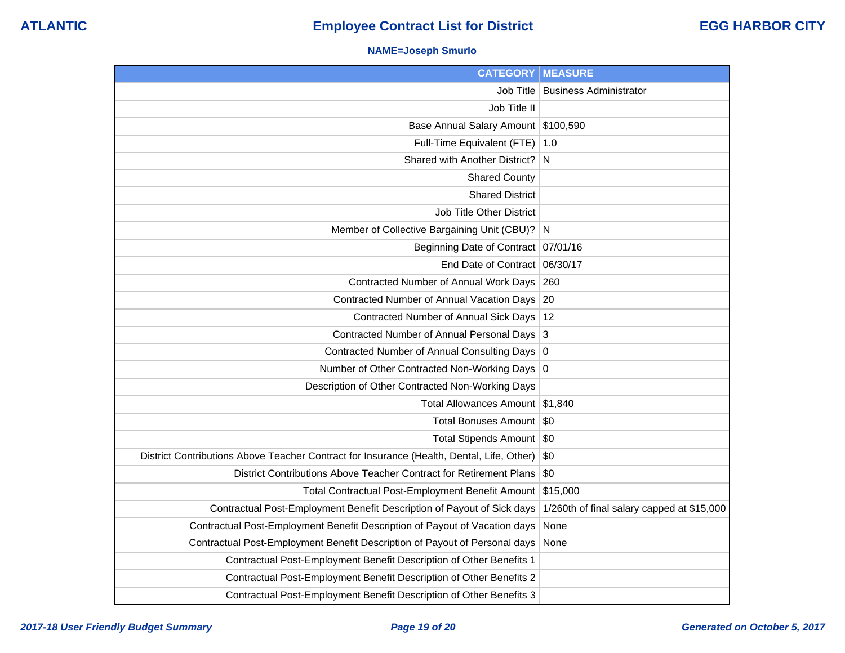## **NAME=Joseph Smurlo**

| <b>CATEGORY</b>                                                                           | <b>MEASURE</b>                             |
|-------------------------------------------------------------------------------------------|--------------------------------------------|
| Job Title                                                                                 | <b>Business Administrator</b>              |
| Job Title II                                                                              |                                            |
| Base Annual Salary Amount \$100,590                                                       |                                            |
| Full-Time Equivalent (FTE)                                                                | 1.0                                        |
| Shared with Another District?                                                             | N                                          |
| <b>Shared County</b>                                                                      |                                            |
| <b>Shared District</b>                                                                    |                                            |
| Job Title Other District                                                                  |                                            |
| Member of Collective Bargaining Unit (CBU)? N                                             |                                            |
| Beginning Date of Contract 07/01/16                                                       |                                            |
| End Date of Contract 06/30/17                                                             |                                            |
| Contracted Number of Annual Work Days                                                     | 260                                        |
| Contracted Number of Annual Vacation Days 20                                              |                                            |
| Contracted Number of Annual Sick Days                                                     | -12                                        |
| Contracted Number of Annual Personal Days                                                 | 3                                          |
| Contracted Number of Annual Consulting Days                                               | 0                                          |
| Number of Other Contracted Non-Working Days                                               | 0                                          |
| Description of Other Contracted Non-Working Days                                          |                                            |
| Total Allowances Amount \$1,840                                                           |                                            |
| Total Bonuses Amount   \$0                                                                |                                            |
| Total Stipends Amount   \$0                                                               |                                            |
| District Contributions Above Teacher Contract for Insurance (Health, Dental, Life, Other) | \$0                                        |
| District Contributions Above Teacher Contract for Retirement Plans                        | \$0                                        |
| Total Contractual Post-Employment Benefit Amount                                          | \$15,000                                   |
| Contractual Post-Employment Benefit Description of Payout of Sick days                    | 1/260th of final salary capped at \$15,000 |
| Contractual Post-Employment Benefit Description of Payout of Vacation days                | None                                       |
| Contractual Post-Employment Benefit Description of Payout of Personal days                | None                                       |
| Contractual Post-Employment Benefit Description of Other Benefits 1                       |                                            |
| Contractual Post-Employment Benefit Description of Other Benefits 2                       |                                            |
| Contractual Post-Employment Benefit Description of Other Benefits 3                       |                                            |